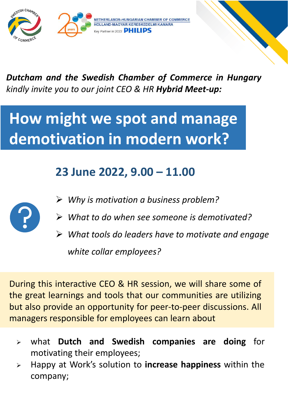

## *Dutcham and the Swedish Chamber of Commerce in Hungary kindly invite you to our joint CEO & HR Hybrid Meet-up:*

# **How might we spot and manage demotivation in modern work?**

## **23 June 2022, 9.00 – 11.00**



- ➢ *Why is motivation a business problem?*
- ➢ *What to do when see someone is demotivated?*
- ➢ *What tools do leaders have to motivate and engage white collar employees?*

During this interactive CEO & HR session, we will share some of the great learnings and tools that our communities are utilizing but also provide an opportunity for peer-to-peer discussions. All managers responsible for employees can learn about

- ➢ what **Dutch and Swedish companies are doing** for motivating their employees;
- ➢ Happy at Work's solution to **increase happiness** within the company;